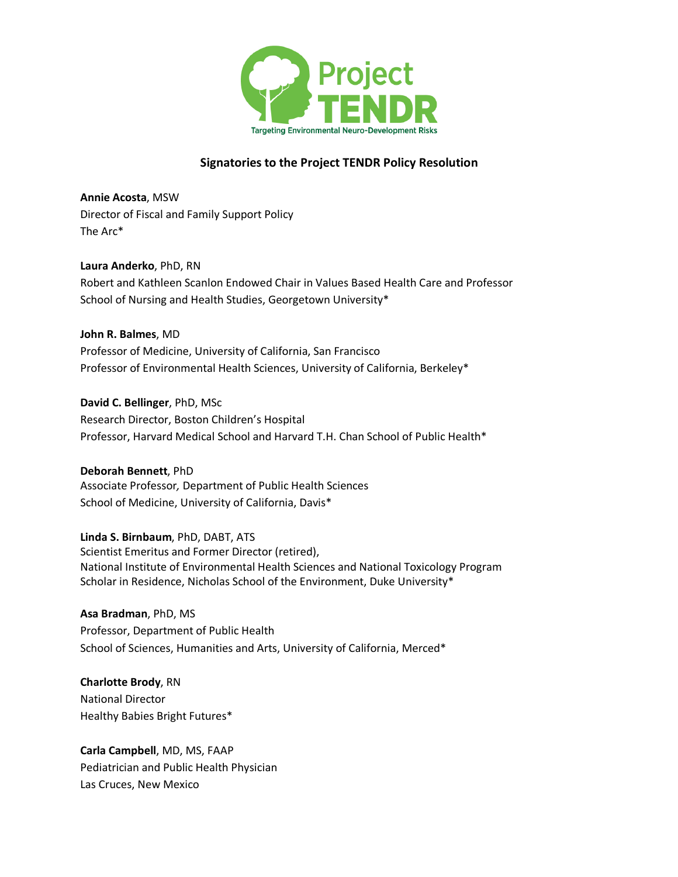

# **Signatories to the Project TENDR Policy Resolution**

**Annie Acosta**, MSW Director of Fiscal and Family Support Policy The Arc\*

**Laura Anderko**, PhD, RN Robert and Kathleen Scanlon Endowed Chair in Values Based Health Care and Professor School of Nursing and Health Studies, Georgetown University\*

**John R. Balmes**, MD Professor of Medicine, University of California, San Francisco Professor of Environmental Health Sciences, University of California, Berkeley\*

**David C. Bellinger**, PhD, MSc Research Director, Boston Children's Hospital Professor, Harvard Medical School and Harvard T.H. Chan School of Public Health\*

**Deborah Bennett**, PhD Associate Professor*,* Department of Public Health Sciences School of Medicine, University of California, Davis\*

**Linda S. Birnbaum**, PhD, DABT, ATS Scientist Emeritus and Former Director (retired), National Institute of Environmental Health Sciences and National Toxicology Program Scholar in Residence, Nicholas School of the Environment, Duke University\*

**Asa Bradman**, PhD, MS Professor, Department of Public Health School of Sciences, Humanities and Arts, University of California, Merced\*

**Charlotte Brody**, RN National Director Healthy Babies Bright Futures\*

**Carla Campbell**, MD, MS, FAAP Pediatrician and Public Health Physician Las Cruces, New Mexico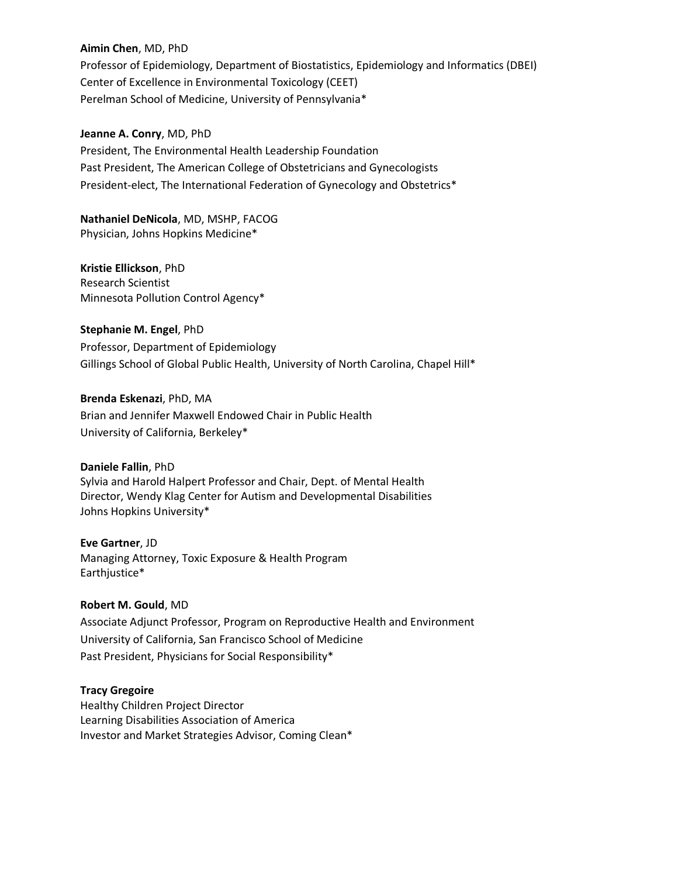### **Aimin Chen**, MD, PhD

Professor of Epidemiology, Department of Biostatistics, Epidemiology and Informatics (DBEI) Center of Excellence in Environmental Toxicology (CEET) Perelman School of Medicine, University of Pennsylvania\*

### **Jeanne A. Conry**, MD, PhD

President, The Environmental Health Leadership Foundation Past President, The American College of Obstetricians and Gynecologists President-elect, The International Federation of Gynecology and Obstetrics\*

**Nathaniel DeNicola**, MD, MSHP, FACOG Physician, Johns Hopkins Medicine\*

**Kristie Ellickson**, PhD Research Scientist Minnesota Pollution Control Agency\*

**Stephanie M. Engel**, PhD Professor, Department of Epidemiology Gillings School of Global Public Health, University of North Carolina, Chapel Hill\*

**Brenda Eskenazi**, PhD, MA Brian and Jennifer Maxwell Endowed Chair in Public Health University of California, Berkeley\*

**Daniele Fallin**, PhD Sylvia and Harold Halpert Professor and Chair, Dept. of Mental Health Director, Wendy Klag Center for Autism and Developmental Disabilities Johns Hopkins University\*

**Eve Gartner**, JD Managing Attorney, Toxic Exposure & Health Program Earthjustice\*

## **Robert M. Gould**, MD

Associate Adjunct Professor, Program on Reproductive Health and Environment University of California, San Francisco School of Medicine Past President, Physicians for Social Responsibility\*

#### **Tracy Gregoire**

Healthy Children Project Director Learning Disabilities Association of America Investor and Market Strategies Advisor, Coming Clean\*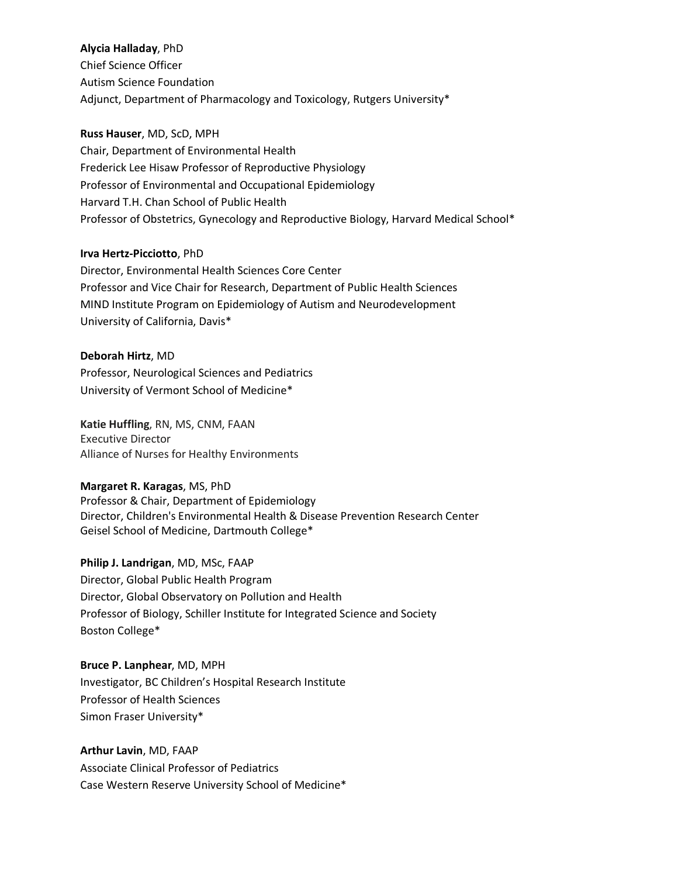#### **Alycia Halladay**, PhD

Chief Science Officer Autism Science Foundation Adjunct, Department of Pharmacology and Toxicology, Rutgers University\*

### **Russ Hauser**, MD, ScD, MPH

Chair, Department of Environmental Health Frederick Lee Hisaw Professor of Reproductive Physiology Professor of Environmental and Occupational Epidemiology Harvard T.H. Chan School of Public Health Professor of Obstetrics, Gynecology and Reproductive Biology, Harvard Medical School\*

## **Irva Hertz-Picciotto**, PhD

Director, Environmental Health Sciences Core Center Professor and Vice Chair for Research, Department of Public Health Sciences MIND Institute Program on Epidemiology of Autism and Neurodevelopment University of California, Davis\*

**Deborah Hirtz**, MD Professor, Neurological Sciences and Pediatrics University of Vermont School of Medicine\*

**Katie Huffling**, RN, MS, CNM, FAAN Executive Director Alliance of Nurses for Healthy Environments

#### **Margaret R. Karagas**, MS, PhD

Professor & Chair, Department of Epidemiology Director, Children's Environmental Health & Disease Prevention Research Center Geisel School of Medicine, Dartmouth College\*

**Philip J. Landrigan**, MD, MSc, FAAP Director, Global Public Health Program Director, Global Observatory on Pollution and Health Professor of Biology, Schiller Institute for Integrated Science and Society Boston College\*

**Bruce P. Lanphear**, MD, MPH Investigator, BC Children's Hospital Research Institute Professor of Health Sciences Simon Fraser University\*

**Arthur Lavin**, MD, FAAP Associate Clinical Professor of Pediatrics Case Western Reserve University School of Medicine\*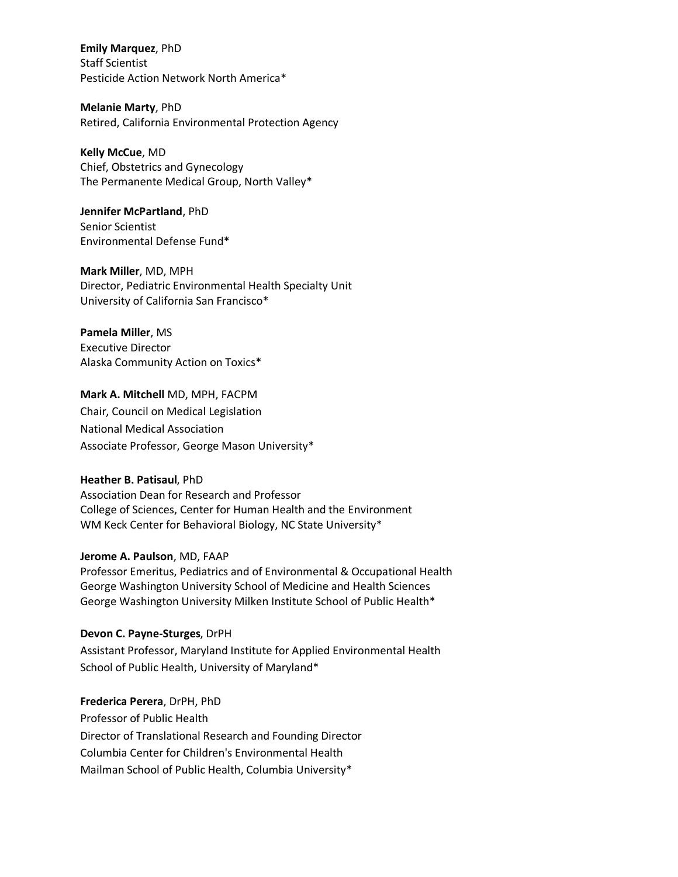**Emily Marquez**, PhD Staff Scientist Pesticide Action Network North America\*

**Melanie Marty**, PhD Retired, California Environmental Protection Agency

**Kelly McCue**, MD Chief, Obstetrics and Gynecology The Permanente Medical Group, North Valley\*

**Jennifer McPartland**, PhD Senior Scientist Environmental Defense Fund\*

**Mark Miller**, MD, MPH Director, Pediatric Environmental Health Specialty Unit University of California San Francisco\*

**Pamela Miller**, MS Executive Director Alaska Community Action on Toxics\*

**Mark A. Mitchell** MD, MPH, FACPM Chair, Council on Medical Legislation National Medical Association Associate Professor, George Mason University\*

## **Heather B. Patisaul**, PhD

Association Dean for Research and Professor College of Sciences, Center for Human Health and the Environment WM Keck Center for Behavioral Biology, NC State University\*

#### **Jerome A. Paulson**, MD, FAAP

Professor Emeritus, Pediatrics and of Environmental & Occupational Health George Washington University School of Medicine and Health Sciences George Washington University Milken Institute School of Public Health\*

## **Devon C. Payne-Sturges**, DrPH

Assistant Professor, Maryland Institute for Applied Environmental Health School of Public Health, University of Maryland\*

**Frederica Perera**, DrPH, PhD Professor of Public Health Director of Translational Research and Founding Director Columbia Center for Children's Environmental Health Mailman School of Public Health, Columbia University\*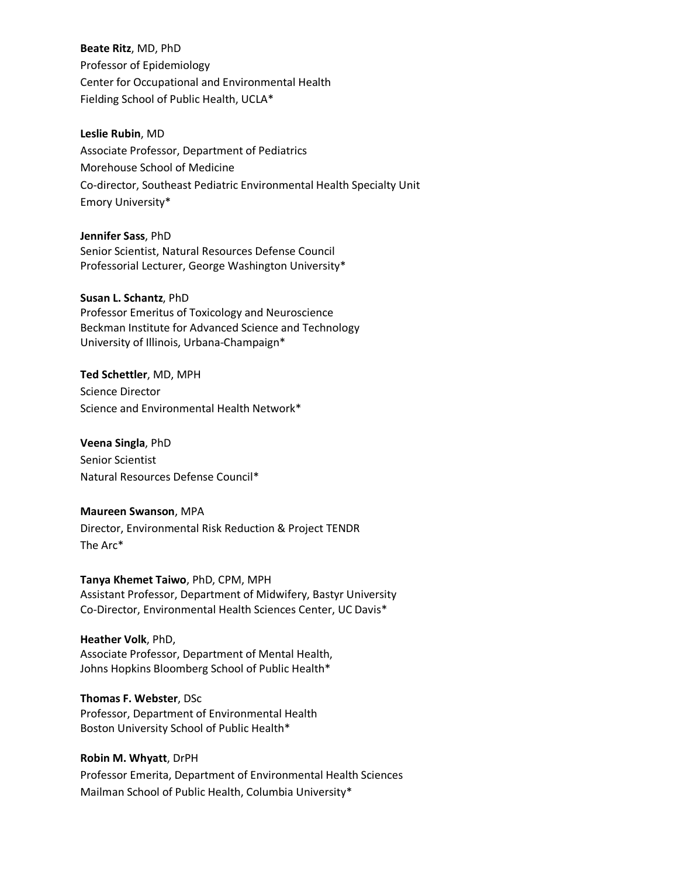**Beate Ritz**, MD, PhD Professor of Epidemiology Center for Occupational and Environmental Health Fielding School of Public Health, UCLA\*

**Leslie Rubin**, MD Associate Professor, Department of Pediatrics Morehouse School of Medicine Co-director, Southeast Pediatric Environmental Health Specialty Unit Emory University\*

**Jennifer Sass**, PhD Senior Scientist, Natural Resources Defense Council Professorial Lecturer, George Washington University\*

**Susan L. Schantz**, PhD Professor Emeritus of Toxicology and Neuroscience Beckman Institute for Advanced Science and Technology University of Illinois, Urbana-Champaign\*

**Ted Schettler**, MD, MPH Science Director Science and Environmental Health Network\*

**Veena Singla**, PhD Senior Scientist Natural Resources Defense Council\*

**Maureen Swanson**, MPA Director, Environmental Risk Reduction & Project TENDR The Arc\*

**Tanya Khemet Taiwo**, PhD, CPM, MPH Assistant Professor, Department of Midwifery, Bastyr University Co-Director, Environmental Health Sciences Center, UC Davis\*

**Heather Volk**, PhD, Associate Professor, Department of Mental Health, Johns Hopkins Bloomberg School of Public Health\*

**Thomas F. Webster**, DSc Professor, Department of Environmental Health Boston University School of Public Health\*

**Robin M. Whyatt**, DrPH Professor Emerita, Department of Environmental Health Sciences Mailman School of Public Health, Columbia University\*